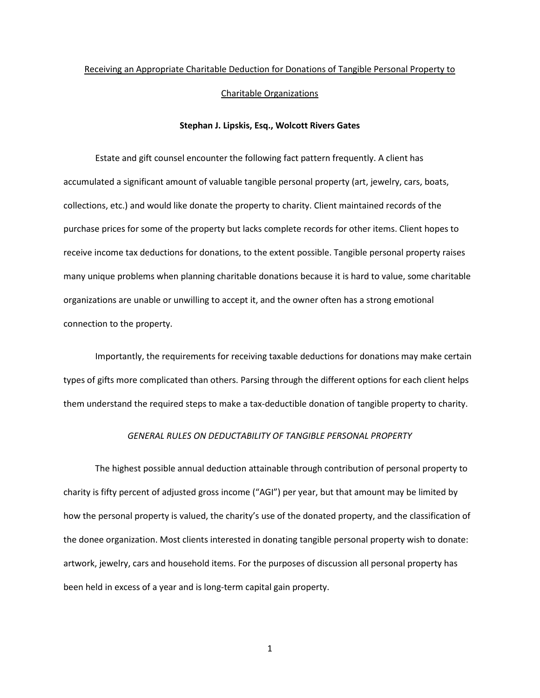# Receiving an Appropriate Charitable Deduction for Donations of Tangible Personal Property to Charitable Organizations

# **Stephan J. Lipskis, Esq., Wolcott Rivers Gates**

Estate and gift counsel encounter the following fact pattern frequently. A client has accumulated a significant amount of valuable tangible personal property (art, jewelry, cars, boats, collections, etc.) and would like donate the property to charity. Client maintained records of the purchase prices for some of the property but lacks complete records for other items. Client hopes to receive income tax deductions for donations, to the extent possible. Tangible personal property raises many unique problems when planning charitable donations because it is hard to value, some charitable organizations are unable or unwilling to accept it, and the owner often has a strong emotional connection to the property.

Importantly, the requirements for receiving taxable deductions for donations may make certain types of gifts more complicated than others. Parsing through the different options for each client helps them understand the required steps to make a tax-deductible donation of tangible property to charity.

# *GENERAL RULES ON DEDUCTABILITY OF TANGIBLE PERSONAL PROPERTY*

The highest possible annual deduction attainable through contribution of personal property to charity is fifty percent of adjusted gross income ("AGI") per year, but that amount may be limited by how the personal property is valued, the charity's use of the donated property, and the classification of the donee organization. Most clients interested in donating tangible personal property wish to donate: artwork, jewelry, cars and household items. For the purposes of discussion all personal property has been held in excess of a year and is long-term capital gain property.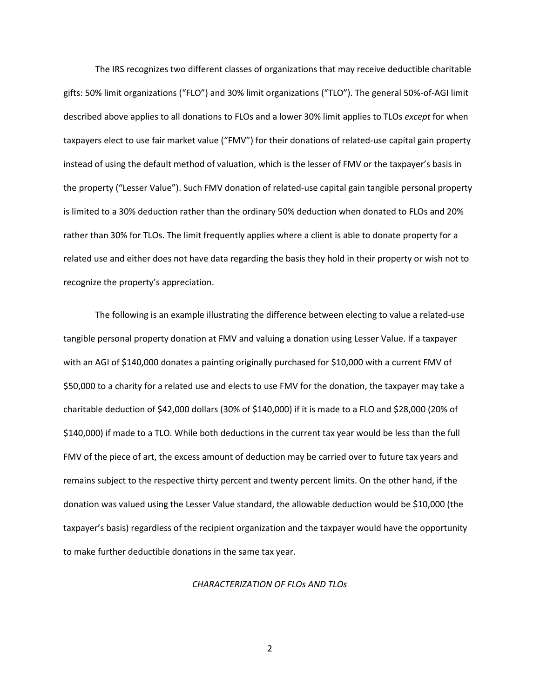The IRS recognizes two different classes of organizations that may receive deductible charitable gifts: 50% limit organizations ("FLO") and 30% limit organizations ("TLO"). The general 50%-of-AGI limit described above applies to all donations to FLOs and a lower 30% limit applies to TLOs *except* for when taxpayers elect to use fair market value ("FMV") for their donations of related-use capital gain property instead of using the default method of valuation, which is the lesser of FMV or the taxpayer's basis in the property ("Lesser Value"). Such FMV donation of related-use capital gain tangible personal property is limited to a 30% deduction rather than the ordinary 50% deduction when donated to FLOs and 20% rather than 30% for TLOs. The limit frequently applies where a client is able to donate property for a related use and either does not have data regarding the basis they hold in their property or wish not to recognize the property's appreciation.

The following is an example illustrating the difference between electing to value a related-use tangible personal property donation at FMV and valuing a donation using Lesser Value. If a taxpayer with an AGI of \$140,000 donates a painting originally purchased for \$10,000 with a current FMV of \$50,000 to a charity for a related use and elects to use FMV for the donation, the taxpayer may take a charitable deduction of \$42,000 dollars (30% of \$140,000) if it is made to a FLO and \$28,000 (20% of \$140,000) if made to a TLO. While both deductions in the current tax year would be less than the full FMV of the piece of art, the excess amount of deduction may be carried over to future tax years and remains subject to the respective thirty percent and twenty percent limits. On the other hand, if the donation was valued using the Lesser Value standard, the allowable deduction would be \$10,000 (the taxpayer's basis) regardless of the recipient organization and the taxpayer would have the opportunity to make further deductible donations in the same tax year.

#### *CHARACTERIZATION OF FLOs AND TLOs*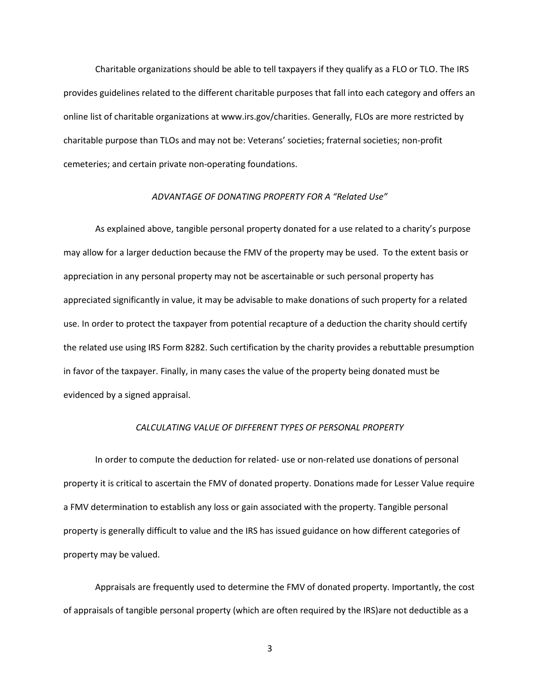Charitable organizations should be able to tell taxpayers if they qualify as a FLO or TLO. The IRS provides guidelines related to the different charitable purposes that fall into each category and offers an online list of charitable organizations at www.irs.gov/charities. Generally, FLOs are more restricted by charitable purpose than TLOs and may not be: Veterans' societies; fraternal societies; non-profit cemeteries; and certain private non-operating foundations.

### *ADVANTAGE OF DONATING PROPERTY FOR A "Related Use"*

As explained above, tangible personal property donated for a use related to a charity's purpose may allow for a larger deduction because the FMV of the property may be used. To the extent basis or appreciation in any personal property may not be ascertainable or such personal property has appreciated significantly in value, it may be advisable to make donations of such property for a related use. In order to protect the taxpayer from potential recapture of a deduction the charity should certify the related use using IRS Form 8282. Such certification by the charity provides a rebuttable presumption in favor of the taxpayer. Finally, in many cases the value of the property being donated must be evidenced by a signed appraisal.

# *CALCULATING VALUE OF DIFFERENT TYPES OF PERSONAL PROPERTY*

In order to compute the deduction for related- use or non-related use donations of personal property it is critical to ascertain the FMV of donated property. Donations made for Lesser Value require a FMV determination to establish any loss or gain associated with the property. Tangible personal property is generally difficult to value and the IRS has issued guidance on how different categories of property may be valued.

Appraisals are frequently used to determine the FMV of donated property. Importantly, the cost of appraisals of tangible personal property (which are often required by the IRS)are not deductible as a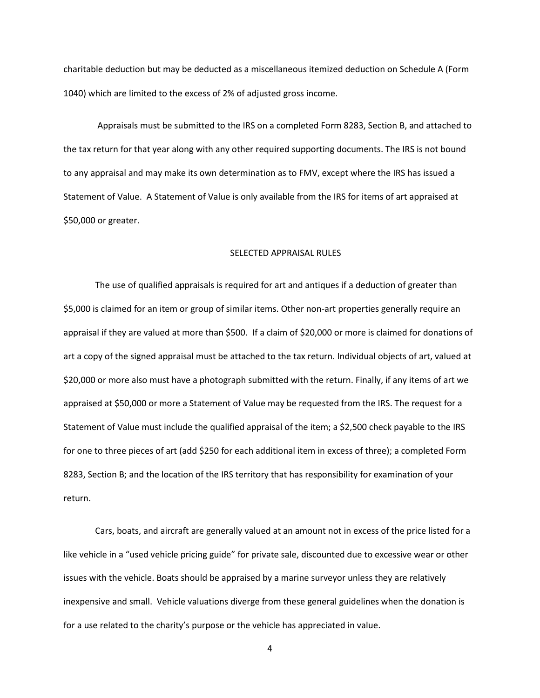charitable deduction but may be deducted as a miscellaneous itemized deduction on Schedule A (Form 1040) which are limited to the excess of 2% of adjusted gross income.

Appraisals must be submitted to the IRS on a completed Form 8283, Section B, and attached to the tax return for that year along with any other required supporting documents. The IRS is not bound to any appraisal and may make its own determination as to FMV, except where the IRS has issued a Statement of Value. A Statement of Value is only available from the IRS for items of art appraised at \$50,000 or greater.

# SELECTED APPRAISAL RULES

The use of qualified appraisals is required for art and antiques if a deduction of greater than \$5,000 is claimed for an item or group of similar items. Other non-art properties generally require an appraisal if they are valued at more than \$500. If a claim of \$20,000 or more is claimed for donations of art a copy of the signed appraisal must be attached to the tax return. Individual objects of art, valued at \$20,000 or more also must have a photograph submitted with the return. Finally, if any items of art we appraised at \$50,000 or more a Statement of Value may be requested from the IRS. The request for a Statement of Value must include the qualified appraisal of the item; a \$2,500 check payable to the IRS for one to three pieces of art (add \$250 for each additional item in excess of three); a completed Form 8283, Section B; and the location of the IRS territory that has responsibility for examination of your return.

Cars, boats, and aircraft are generally valued at an amount not in excess of the price listed for a like vehicle in a "used vehicle pricing guide" for private sale, discounted due to excessive wear or other issues with the vehicle. Boats should be appraised by a marine surveyor unless they are relatively inexpensive and small. Vehicle valuations diverge from these general guidelines when the donation is for a use related to the charity's purpose or the vehicle has appreciated in value.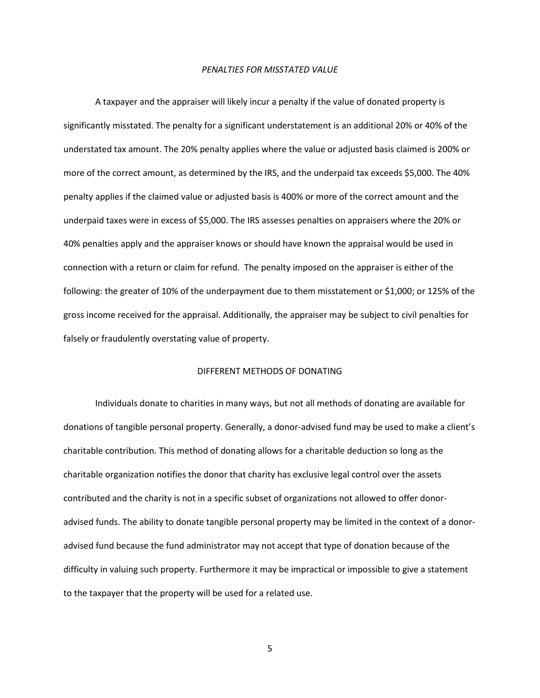#### *PENALTIES FOR MISSTATED VALUE*

A taxpayer and the appraiser will likely incur a penalty if the value of donated property is significantly misstated. The penalty for a significant understatement is an additional 20% or 40% of the understated tax amount. The 20% penalty applies where the value or adjusted basis claimed is 200% or more of the correct amount, as determined by the IRS, and the underpaid tax exceeds \$5,000. The 40% penalty applies if the claimed value or adjusted basis is 400% or more of the correct amount and the underpaid taxes were in excess of \$5,000. The IRS assesses penalties on appraisers where the 20% or 40% penalties apply and the appraiser knows or should have known the appraisal would be used in connection with a return or claim for refund. The penalty imposed on the appraiser is either of the following: the greater of 10% of the underpayment due to them misstatement or \$1,000; or 125% of the gross income received for the appraisal. Additionally, the appraiser may be subject to civil penalties for falsely or fraudulently overstating value of property.

#### DIFFERENT METHODS OF DONATING

Individuals donate to charities in many ways, but not all methods of donating are available for donations of tangible personal property. Generally, a donor-advised fund may be used to make a client's charitable contribution. This method of donating allows for a charitable deduction so long as the charitable organization notifies the donor that charity has exclusive legal control over the assets contributed and the charity is not in a specific subset of organizations not allowed to offer donoradvised funds. The ability to donate tangible personal property may be limited in the context of a donoradvised fund because the fund administrator may not accept that type of donation because of the difficulty in valuing such property. Furthermore it may be impractical or impossible to give a statement to the taxpayer that the property will be used for a related use.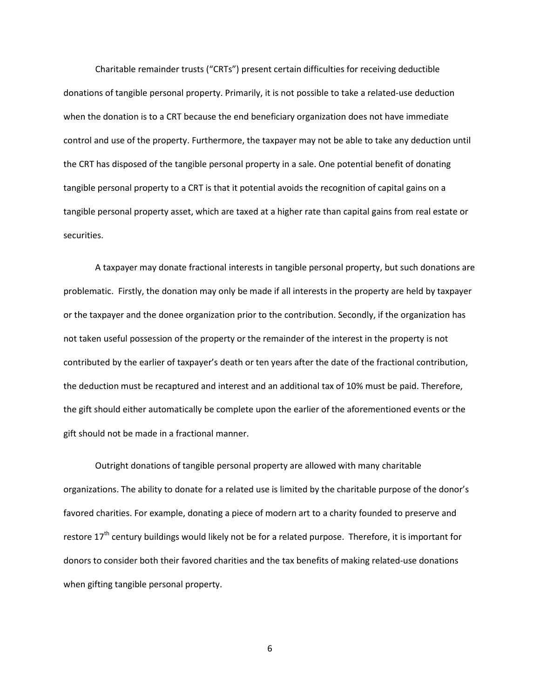Charitable remainder trusts ("CRTs") present certain difficulties for receiving deductible donations of tangible personal property. Primarily, it is not possible to take a related-use deduction when the donation is to a CRT because the end beneficiary organization does not have immediate control and use of the property. Furthermore, the taxpayer may not be able to take any deduction until the CRT has disposed of the tangible personal property in a sale. One potential benefit of donating tangible personal property to a CRT is that it potential avoids the recognition of capital gains on a tangible personal property asset, which are taxed at a higher rate than capital gains from real estate or securities.

A taxpayer may donate fractional interests in tangible personal property, but such donations are problematic. Firstly, the donation may only be made if all interests in the property are held by taxpayer or the taxpayer and the donee organization prior to the contribution. Secondly, if the organization has not taken useful possession of the property or the remainder of the interest in the property is not contributed by the earlier of taxpayer's death or ten years after the date of the fractional contribution, the deduction must be recaptured and interest and an additional tax of 10% must be paid. Therefore, the gift should either automatically be complete upon the earlier of the aforementioned events or the gift should not be made in a fractional manner.

Outright donations of tangible personal property are allowed with many charitable organizations. The ability to donate for a related use is limited by the charitable purpose of the donor's favored charities. For example, donating a piece of modern art to a charity founded to preserve and restore 17<sup>th</sup> century buildings would likely not be for a related purpose. Therefore, it is important for donors to consider both their favored charities and the tax benefits of making related-use donations when gifting tangible personal property.